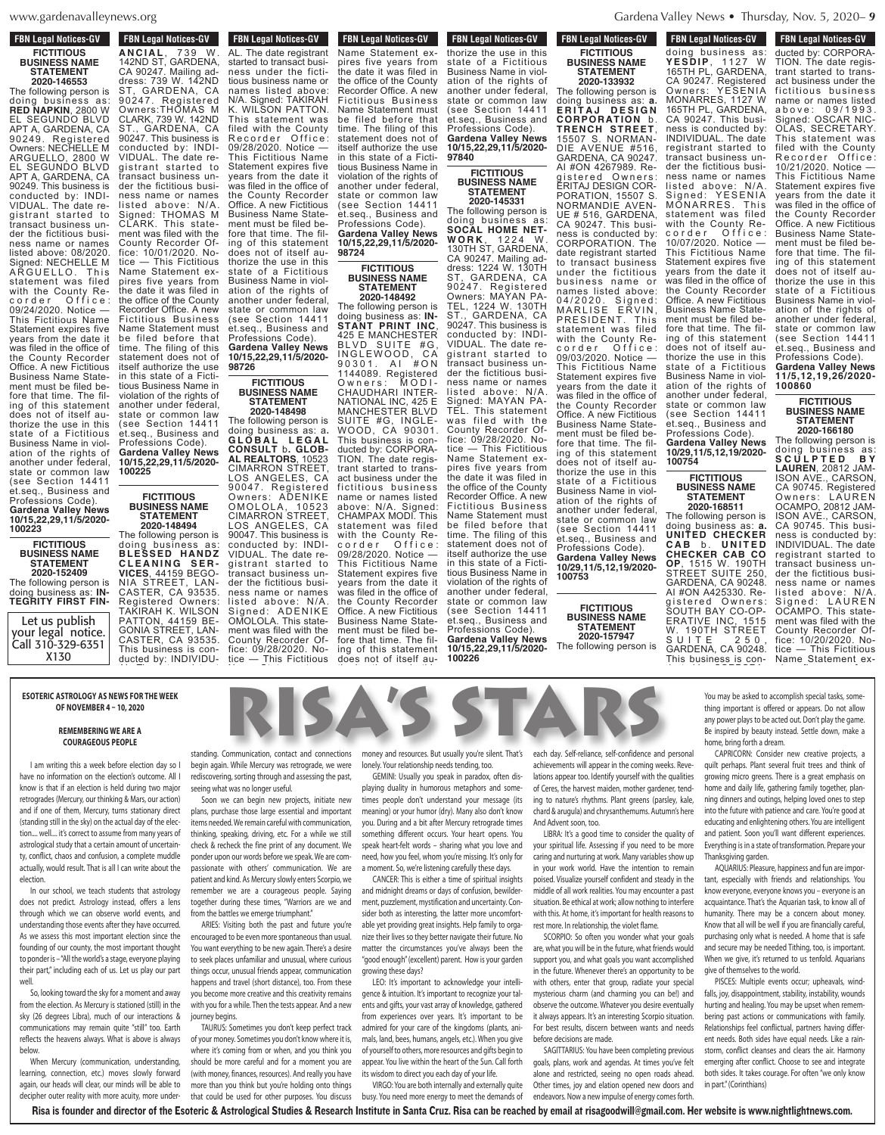www.gardenavalleynews.org extending the state of the state of Gardena Valley News • Thursday, Nov. 5, 2020– **9 2020-152409**  $\frac{1}{2}$ 

### **FBN Legal Notices-GV FICTITIOUS BUSINESS NAME STATEMENT**

**2020-146553** The following person is doing business as: **RED NAPKIN**, 2800 W EL SEGUNDO BLVD **APT A, GARDENA, CA<br>90249.** Registered 90249. Registered Owners: NECHELLE M ARGUELLO, 2800 W EL SEGUNDO BLVD APT A, GARDENA, CA 90249. This business is conducted by: INDI-VIDUAL. The date registrant started to transact business under the fictitious business name or names listed above: 08/2020. Signed: NECHELLE M A R G U E L L O . statement was filed with the County Recorder Office: 09/24/2020. Notice — This Fictitious Name Statement expires five years from the date it was filed in the office of the County Recorder Office. A new Fictitious Business Name Statement must be filed before that time. The filing of this statement does not of itself authorize the use in this state of a Fictitious Business Name in violation of the rights of another under federal, state or common law (see Section 14411 et.seq., Business and Professions Code). **Gardena Valley News 10/15,22,29,11/5/2020- 100223**

**FICTITIOUS BUSINESS NAME STATEMENT 2020-152409** The following person is doing business as: **IN-TEGRITY FIRST FIN-**

Let us publish  $\parallel$ your legal notice.<br>Call 310-329-6351 **2024 2025 A N C I A L** , 7 3 9 W .  $630.739 - 6351$  $\begin{bmatrix} \text{Cau} \\ \text{Cau} \end{bmatrix}$ 

Clark, 739 W. 142ND W. 142ND W. 142ND W. 142ND W. 142ND W. 142ND W. 142ND W. 142ND W. 142ND W. 142ND W. 142ND

ness name or names

**A N C I A L** , 7 3 9 W . 142ND ST, GARDENA, CA 90247. Mailing address: 739 W. 142ND GARDENA, CA 90247. Registered Owners:THOMAS M CLARK, 739 W. 142ND ST., GARDENA, CA 90247. This business is conducted by: INDI-VIDUAL. The date registrant started to transact business under the fictitious business name or names listed above: N/A. Signed: THOMAS M CLARK. This statement was filed with the County Recorder Office: 10/01/2020. Notice — This Fictitious Name Statement expires five years from the date it was filed in the office of the County Recorder Office. A new Fictitious Business Name Statement must be filed before that time. The filing of this statement does not of itself authorize the use in this state of a Fictitious Business Name in violation of the rights of another under federal, state or common law (see Section 14411 et.seq., Business and

**100225 FICTITIOUS BUSINESS NAME**

**STATEMENT 2020-148494** The following person is<br>doing business as: doing business as: **BLESSED HANDZ C L E A N I N G S E R - VICES**, 44159 BEGO-NIA STREET, LAN-CASTER, CA 93535. Registered Owners:

started to transact busi-

**FBN Legal Notices-GV TEDIV LEGAL NUMBERS-CIV** AL. The date registrant started to transact business under the fictitious business name or<br>names listed above: names listed N/A. Signed: TAKIRAH K. WILSON PATTON. This statement was filed with the County<br>Recorder Office: Recorder Office: 09/28/2020. Notice — This Fictitious Name Statement expires five years from the date it was filed in the office of the County Recorder Office. A new Fictitious Business Name Statement must be filed before that time. The filing of this statement does not of itself authorize the use in this state of a Fictitious Business Name in violation of the rights of another under federal, state or common law (see Section 14411 et.seq., Business and Professions Code). **FBN Legal Notices-GV** doing business as: **IN-TEGRITY FIRST FIN-**

**Gardena Valley News 10/15,22,29,11/5/2020- 98726 FICTITIOUS**

### **BUSINESS NAME STATEMENT 2020-148498**

The following person is doing business as: a**. G L O B A L L E G A L CONSULT** b**. GLOB-AL REALTORS**, 10523 CIMARRON STREET, LOS ANGELES, CA 90047. Registered Owners: ADENIKE OMMETS. ADENTICE<br>OMOLOLA, 10523<br>CIMARRON STREET, CIMARRON STREET,<br>LOS ANGELES, CA 90047. This business is conducted by: INDI-VIDUAL. The date registrant started to transact business under the fictitious business name or names listed above: N/A. Signed: ADENIKE OMOLOLA. This statement was filed with the County Recorder Office: 09/28/2020. No-Professions Code). **Gardena Valley News 10/15,22,29,11/5/2020-** TAKIRAH K. WILSON PATTON, 44159 BE-GONIA STREET, LAN-CASTER, CA 93535. This business is conducted by: INDIVIDU-

**FBN Legal Notices-GV This Figure Motive 2018** Name Statement expires five years from the date it was filed in the office of the County Recorder Office. A new Fictitious Business Name Statement must be filed before that time. The filing of this statement does not of itself authorize the use in this state of a Fictitious Business Name in violation of the rights of another under federal, state or common law (see Section 14411 et.seq., Business and Professions Code). **Gardena Valley News**

**10/15,22,29,11/5/2020- 98724 FICTITIOUS BUSINESS NAME**

**STATEMENT 2020-148492**

The following person is doing business as: **IN-STANT PRINT INC**, 425 E MANCHESTER BLVD SUITE #G, INGLEWOOD, CA 90301. AI #ON 1144089. Registered O w n e r s : M O D I - CHAUDHARI INTER-NATIONAL INC, 425 E MANCHESTER BLVD SUITE #G, INGLE-WOOD, CA 90301. This business is conducted by: CORPORA-TION. The date registrant started to transact business under the fictitious business name or names listed above: N/A. Signed: CHAMPAX MODI. This statement was filed with the County Recorder Office: 09/28/2020. Notice — This Fictitious Name Statement expires five years from the date it was filed in the office of the County Recorder Office. A néw Fictitious Business Name Statement must be filed before that time. The fil-

**FBN Legal Notices-GV** rbiv Leyal Nutiles-dv thorize the use in this state of a Fictitious Business Name in violation of the rights of another under federal, state or common law state of common fair et.seq., Business and Professions Code). **Gardena Valley News 10/15,22,29,11/5/2020- 97840**

**FICTITIOUS BUSINESS NAME STATEMENT 2020-145331**

The following person is doing business as: **SOCAL HOME NET-W O R K** , 1 2 2 4 W . 130TH ST, GARDENA, CA 90247. Mailing address: 1224 W. 130TH dress: 1224 W. 130TH<br>ST, GARDENA. CA 90247. Registered Owners: MAYAN PA-TEL, 1224 W. 130TH<br>ST., GARDENA, CA GARDENA, CA 90247. This business is conducted by: INDI-VIDUAL. The date registrant started to transact business under the fictitious business name or names listed above: N/A. Signed: MAYAN PA-TEL. This statement was filed with the County Recorder Office: 09/28/2020. Notice — This Fictitious Name Statement expires five years from the date it was filed in the office of the County Recorder Office. A new Fictitious Business Name Statement must be filed before that time. The filing of this statement does not of itself authorize the use in this state of a Fictitious Business Name in violation of the rights of another under federal, state or common law (see Section 14411 et.seq., Business and

Professions Code). **Gardena Valley News**

**FBN Legal Notices-GV FICTITIOUS BUSINESS NAME STATEMENT**

**2020-133932** The following person is doing business as: **a. E R I T A J D E S I G N CORPORATION** b. **TRENCH STREET**, 15507 S. NORMAN-DIE AVENUE #516, GARDENA, CA 90247. AI #ON 4267989. Registered Owners: ERITAJ DESIGN COR-PORATION, 15507 S. NORMANDIE AVEN-UE # 516, GARDENA, CA 90247. This business is conducted by: CORPORATION. The date registrant started to transact business under the fictitious business name or names listed above: 04/2020. Signed: MARLISE ERVIN, PRESIDENT. This statement was filed with the County Recorder Office: 09/03/2020. Notice — This Fictitious Name Statement expires five years from the date it was filed in the office of the County Recorder Office. A new Fictitious Business Name Statement must be filed before that time. The filing of this statement does not of itself authorize the use in this state of a Fictitious Business Name in violation of the rights of another under federal, state or common law (see Section 14411 et.seq., Business and Professions Code).

## **Gardena Valley News 10/29,11/5,12,19/2020- 100753**

### **FICTITIOUS BUSINESS NAME STATEMENT 2020-157947**

The following person is

with the County Recorder Office: 10/07/2020. Notice — This Fictitious Name Statement expires five years from the date it was filed in the office of the County Recorder Office. A new Fictitious Business Name Statement must be filed before that time. The filing of this statement does not of itself authorize the use in this state of a Fictitious Business Name in violation of the rights of another under federal, state or common law (see Section 14411 et.seq., Business and Professions Code). **Gardena Valley News 10/29,11/5,12,19/2020- 100754 FICTITIOUS BUSINESS NAME STATEMENT 2020-168511**

The following person is doing business as: **a. UNITED CHECKER C A B** b . **U N I T E D CHECKER CAB CO OP**, 1515 W. 190TH STREET SUITE 250, GARDENA, CA 90248. AI #ON A425330. Registered Owners: SOUTH BAY CO-OP-ERATIVE INC, 1515 W. 190TH STREET S U I T E 250, GARDENA, CA 90248. This business is con-

TION. The date regis-

WS FOR THE WEEK **OF NOVEMBER 4 – 10, 2020** ST., GARDENA, CA **ESOTERIC ASTROLOGY AS NEWS FOR THE WEEK** VIDUAL. The date re-

### **REMEMBERING WE ARE A** This statement was a more was the more was the statement of the statement was a more was a more was a more was<br>The statement of the statement was a more was a more was a more was a more was a more was a more was a more was filed with the County of the County of the County of the County of the County of the County of the County of the County of the County of the County of the County of the County of the County of the County of the County of t **COURAGEOUS PEOPLE**

I am writing this a week before election day so I begin age have no information on the election's outcome. All I rediscove know is that if an election is held during two major seeing w  $\frac{1}{2}$  and the data in the data is  $\frac{1}{2}$ g & Mars, our action) soon and if one of them, Mercury, turns stationary direct plans, pu (standing still in the sky) on the actual day of the elec- items nee tion.... well.... it's correct to assume from many years of thinking, ment must be find that a certain amount of uncertain-<br>astrological study that a certain amount of uncertain $f(x) = \frac{1}{2}$  filling that the filla complete muddle ponder u  $\vert$  actually, would result. That is all I can write about the passionat  $\frac{1}{2}$  KNOW is that if an election is retrogrades (Mercury, our thinking & Mars, our action)  $\begin{bmatrix} a_{11} & a_{22} & a_{23} & a_{24} & a_{25} & a_{26} & a_{27} & a_{28} & a_{29} & a_{21} & a_{22} & a_{23} \end{bmatrix}$ ty, conflict, chaos and confusion, a complete muddle election.

In our school, we teach students that astrology remembe Business The Life of the Search of the Life of the Life of the Maria Search of the Maria Search of the Maria S<br>Business Name is not the Maria Search of the Maria Search of the Maria Search of the Maria Search of the Maria  $\alpha$ ,  $\alpha$  is a reasonable rights of  $\alpha$ through which we can observe world events, and from the l I understanding those events after they have occurred. ARIES  $\vert$  As we assess this most important election since the encourag founding of our county, the most important thought You want Incomming of our county, the most important modern load to ponder is – "All the world's a stage, everyone playing to see **G** *Geveryone playing to seek p* 10 ponder is – All the world's a stage, everyone playing to seek p<br>their part," including each of us. Let us play our part things oc  $\int$  does not prodict. Actrology does not predict. Astrology instead, offers a lens<br>discussion in this case of the magnetic contracts  $\parallel$  their part," including each of us. Let us play our part  $\blacksquare$  well.

 $\log$  So, looking toward the sky for a moment and away from the election. As Mercury is stationed (still) in the **Gardena Valley News** sky (26 degrees Libra), much of our interactions & **10/10/20 SKY (20 degrees Libra), much 100225** communications may remain quite "still" too. Earth reflects the heavens always. What is above is always below.

When Mercury (communication, understanding, learning, connection, etc.) moves slowly forward again, our heads will clear, our minds will be able to decipher outer reality with more acuity, more under-

rediscovering, sorting through and assessing the past, standing. Communication, contact and connections begin again. While Mercury was retrograde, we were realses vering, sorting tinough and assessing to seeing what was no longer useful.  $\frac{1}{2}$  violation of the rights of the rights of the rights of the rights of the rights of the rights of the rights of the rights of the rights of the rights of the rights of the rights of the rights of the rights of th

Soon we can begin new projects, initiate new plans, purchase those large essential and important items needed. We remain careful with communication, thinking, speaking, driving, etc. For a while we still check & recheck the fine print of any document. We **10/15,22,29,11/5/2020-** ponder upon our words before we speak. We are com-**98724** passionate with others' communication. We are patient and kind. As Mercury slowly enters Scorpio, we remember we are a courageous people. Saying together during these times, "Warriors are we and from the battles we emerge triumphant."

ARIES: Visiting both the past and future you're encouraged to be even more spontaneous than usual. You want everything to be new again. There's a desire to seek places unfamiliar and unusual, where curious things occur, unusual friends appear, communication happens and travel (short distance), too. From these you become more creative and this creativity remains with you for a while. Then the tests appear. And a new journey begins.

TAURUS: Sometimes you don't keep perfect track of your money. Sometimes you don't know where it is, where it's coming from or when, and you think you should be more careful and for a moment you are (with money, finances, resources). And really you have more than you think but you're holding onto things that could be used for other purposes. You discuss

were lonely. Your relationship needs tending, too.

GEMINI: Usually you speak in paradox, often displaying duality in humorous metaphors and sometimes people don't understand your message (its meaning) or your humor (dry). Many also don't know you. During and a bit after Mercury retrograde times something different occurs. Your heart opens. You speak heart-felt words – sharing what you love and need, how you feel, whom you're missing. It's only for a moment. So, we're listening carefully these days.

CANCER: This is either a time of spiritual insights and midnight dreams or days of confusion, bewilderment, puzzlement, mystification and uncertainty. Consider both as interesting, the latter more uncomfortable yet providing great insights. Help family to organize their lives so they better navigate their future. No matter the circumstances you've always been the "good enough" (excellent) parent. How is your garden growing these days?

LEO: It's important to acknowledge your intelligence & intuition. It's important to recognize your talents and gifts, your vast array of knowledge, gathered from experiences over years. It's important to be admired for your care of the kingdoms (plants, animals, land, bees, humans, angels, etc.). When you give of yourself to others, more resources and gifts begin to appear. You live within the heart of the Sun. Call forth its wisdom to direct you each day of your life.

VIRGO: You are both internally and externally quite busy. You need more energy to meet the demands of

INDIVIDUAL. The date each day. Self-reliance, self-confidence and personal active day. Sen Tendines, sen commented and personal  $\frac{d}{dt}$  or  $\frac{d}{dt}$  is the field  $\frac{d}{dt}$ lations appear too. Identify yourself with the qualities of Ceres, the harvest maiden, mother gardener, tending to nature's rhythms. Plant greens (parsley, kale, chard & arugula) and chrysanthemums. Autumn's here statement was filed And Advent soon, too.

r Advent soon, too.<br>LIBRA: It's a good time to consider the quality of your spiritual life. Assessing if you need to be more caring and nurturing at work. Many variables show up in your work world. Have the intention to remain metal the date international continuity continuity. wisualize yourself computer and s middle of all work realities. You may encounter a past situation. Be ethical at work; allow nothing to interfere with this. At home, it's important for health reasons to rest more. In relationship, the violet flame.

ous charm (and charming you can be:) and<br>the outcome Whatever you desire eventually fore that time. The fil-SCORPIO: So often you wonder what your goals in io. 30 0 item you wonder what are, what you will be in the future, what friends would support you, and what goals you want accomplished in the future. Whenever there's an opportunity to be with others, enter that group, radiate your special must official charm (and charming you can be!) and observe the outcome. Whatever you desire eventually it always appears. It's an interesting Scorpio situation. For best results, discern between wants and needs before decisions are made.

**SAGITTARIUS: You have been completing previous 100754** goals, plans, work and agendas. At times you've felt alone and restricted, seeing no open roads ahead. Other times, joy and elation opened new doors and endeavors. Now a new impulse of energy comes forth.

the office of the County complish special tasks, something important is offered or appears. Do not allow any power plays to be acted out. Don't play the game. eted bat. Bont play the game.  $t$ instead. Settie down, make a statement does not of  $\vert$ trant started to trans-You may be asked to accomplish special tasks, someany power plays to be acted out. Born play the game.<br>Be inspired by beauty instead. Settle down, make a DE INSPITED by Dead home, bring forth a dream.

personal CAPRICORN: Consider new creative projects, a eks. Reve- quilt perhaps. Plant several fruit trees and think of equalities growing micro greens. There is a great emphasis on via diameter of the rights of the rights of the rights of the rights of the rights of the rights of the rights of the rights of the rights of the rights of the rights of the rights of the rights of the rights of the rights  $\frac{1}{2}$  and  $\frac{1}{2}$  under the under  $\frac{1}{2}$  and  $\frac{1}{2}$  under the unit of  $\frac{1}{2}$  and  $\frac{1}{2}$  and  $\frac{1}{2}$  and  $\frac{1}{2}$  and  $\frac{1}{2}$  and  $\frac{1}{2}$  and  $\frac{1}{2}$  and  $\frac{1}{2}$  and  $\frac{1}{2}$  and  $\frac{1}{2}$  and gs, helping loved ones to step mn's here  $\;$  into the future with patience and care. You're good at  $\;$ educating and enlightening others. You are intelligent quality of and patient. Soon you'll want different experiences. **Gradena Componences 11/5,12,19,26/2020-** Office. A new Fictitious  $T_{\text{eff}}$   $T_{\text{eff}}$   $T_{\text{eff}}$   $T_{\text{eff}}$   $T_{\text{eff}}$   $T_{\text{eff}}$  $s$ ley, kale, hing dinners and outings, helping loved ones to step be more Everything is in a state of transformation. Prepare your show up Thanksgiving garden.

o remain AQUARIUS: Pleasure, happiness and fun are impordy in the tant, especially with friends and relationships. You er<br>ter a past he know everyone, everyone knows you – everyone is an the user the user the user that the user that the user that the user that the user that the user that the user<br>Contract the user of the user that the user that the user that the user that the user that the user that the u interfere acquaintance. That's the Aquarian task, to know all of easons to humanity. There may be a concern about money. Know that all will be well if you are financially careful, bur goals purchasing only what is needed. A home that is safe ds would and secure may be needed Tithing, too, is important.  $\frac{1}{2}$  and secare may be  $\frac{1}{2}$  mpliched When we give it's re mplished When we give, it's returned to us tenfold. Aquarians hity to be give of themselves to the world.

**Gardena Valley News** PISCES: Multiple events occur; upheavals, windbe!) and falls, joy, disappointment, stability, instability, wounds hurting and healing. You may be upset when remembering past actions or communications with family. Relationships feel conflictual, partners having different needs. Both sides have equal needs. Like a rainstorm, conflict cleanses and clears the air. Harmony emerging after conflict. Choose to see and integrate both sides. It takes courage. For often "we only know in part." (Corinthians)

**FBN Legal Notices-GV**  $\sum_{i=1}^{n}$ **FBN Legal Notices-GV 2020-157947**  $\lambda$  step  $\lambda$ 

**Business Business** 

**The Following person is expected** by Formula person in the following person is a person in the following person is the control of the following person is a person in the control of the control of the control of the contro doing business as: **YES D IP**, 1 1 2 7 W 165TH PL, GARDENA, CA 90247. Registered Owners: YESENIA MONARRES, 1127 W

name or names listed<br>above: 09/1993.  $09/1993$ Signed: OSCAR NIC-OLAS, SECRETARY. This statement was filed with the County Recorder Office: 10/21/2020. Notice — This Fictitious Name Statement expires five years from the date it was filed in the office of the County Recorder Office. A new Fictitious Business Name Statement must be filed before that time. The filing of this statement does not of itself authorize the use in this state of a Fictitious Business Name in violation of the rights of another under federal, state or common law (see Section 14411 et.seq., Business and Professions Code). **Gardena Valley News 11/5,12,19,26/2020- 100860 FICTITIOUS** 165TH PL, GARDENA, CA 90247. This business is conducted by: INDIVIDUAL. The date registrant started to transact business under the fictitious business name or names listed above: N/A.<br>Signed: YESENIA Signed: YESENIA MONARRES. This statement was filed

**BUSINESS NAME STATEMENT 2020-166180**

**This business is considered** ducted by: CORPORA-TION. The date registrant started to transact business under the fictitious business

The following person is doing business as: **S C U L P T E D B Y LAUREN**, 20812 JAM-ISON AVE., CARSON, CA 90745. Registered Owners: LAUREN OCAMPO, 20812 ISON AVE., CARSON, CA 90745. This business is conducted by: INDIVIDUAL. The date registrant started to transact business under the fictitious business name or names listed above: N/A. Signed: LAUREN OCAMPO. This statement was filed with the County Recorder Office: 10/20/2020. Notice — This Fictitious Name Statement ex-

the date it was filed in

Risa is founder and director of the Esoteric & Astrological Studies & Research Institute in Santa Cruz. Risa can be reached by email at risagoodwill@gmail.com. Her website is www.nightlightnews.com.



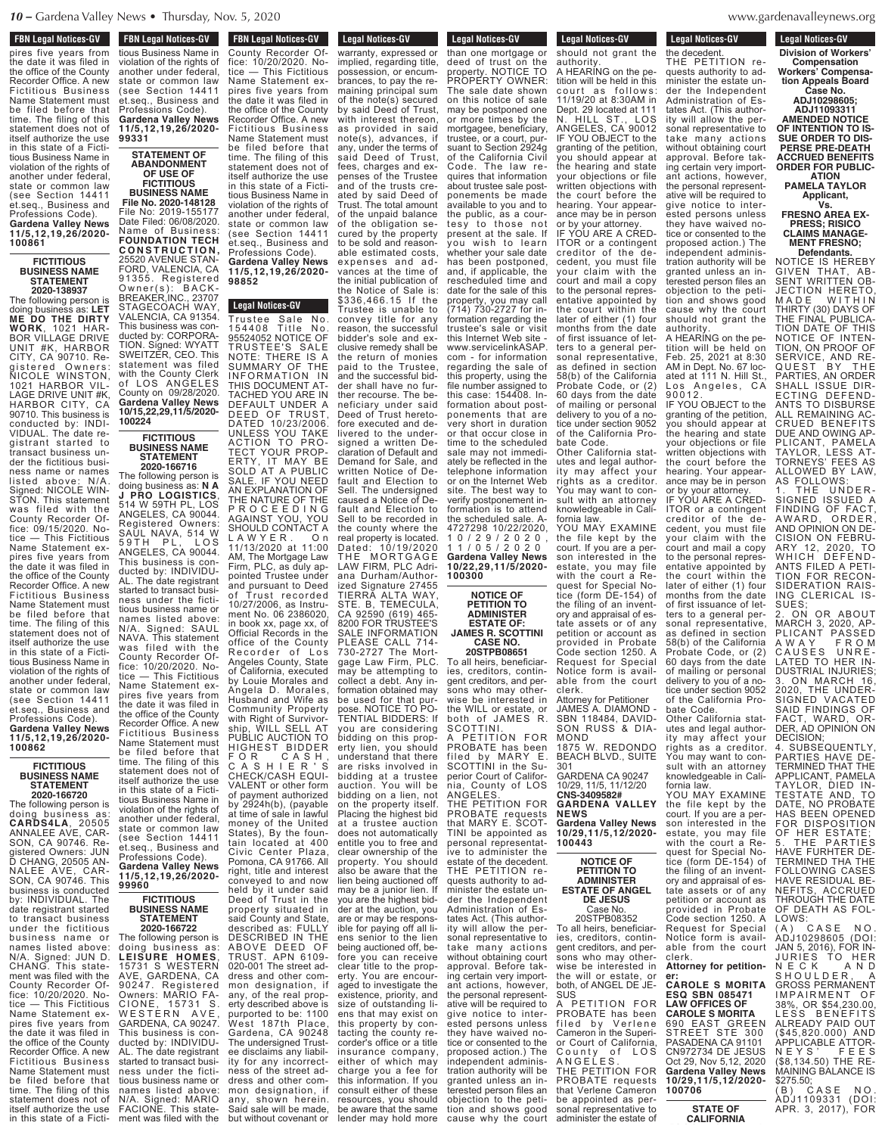# **FBN Legal Notices-GV**

**TEN LEGAL NULLES-AV** pires five years from the date it was filed in the office of the County Recorder Office. A new Fictitious Business Name Statement must be filed before that time. The filing of this statement does not of itself authorize the use in this state of a Fictitious Business Name in violation of the rights of another under federal, state or common law (see Section 14411 et.seq., Business and Professions Code). **Gardena Valley News 11/5,12,19,26/2020- 100861**

### **FICTITIOUS BUSINESS NAME STATEMENT 2020-138937**

The following person is doing business as: **LET ME DO THE DIRTY WORK**, 1021 HAR-BOR VILLAGE DRIVE UNIT #K, HARBOR CITY, CA 90710. Registered Owners: NICOLE WINSTON, 1021 HARBOR VIL-LAGE DRIVE UNIT #K, HARBOR CITY, CA 90710. This business is conducted by: INDI-VIDUAL. The date registrant started to transact business under the fictitious business name or names listed above: N/A. Signed: NICOLE WIN-STON. This statement was filed with the County Recorder Office: 09/15/2020. Notice — This Fictitious Name Statement expires five years from the date it was filed in the office of the County Recorder Office. A new Fictitious Business Name Statement must be filed before that time. The filing of this statement does not of itself authorize the use in this state of a Fictitious Business Name in violation of the rights of another under federal, state or common law (see Section 14411 et.seq., Business and Professions Code). **Gardena Valley News 11/5,12,19,26/2020- 100862**

## **FICTITIOUS BUSINESS NAME STATEMENT**

**2020-166720** The following person is doing business as: **CARDS4LA**, 20505 ANNALEE AVE, CAR-SON, CA 90746. Registered Owners: JUN D CHANG, 20505 AN-NALEE AVE, CAR-SON, CA 90746. This business is conducted<br>by: INDIVIDUAL, The by: INDIVIDUAL. date registrant started to transact business under the fictitious business name or names listed above: N/A. Signed: JUN D. CHANG. This statement was filed with the County Recorder Office: 10/20/2020. Notice — This Fictitious Name Statement expires five years from the date it was filed in the office of the County Recorder Office. A new Fictitious Business Name Statement must be filed before that time. The filing of this statement does not of itself authorize the use

in this state of a Ficti-

**FBN Legal Notices-GV FIGURE TO A FIGURE OF A FIGURE STATE** tious Business Name in violation of the rights of another under federal, state or common law (see Section 14411 et.seq., Business and Professions Code). **Gardena Valley News 11/5,12,19,26/2020- 99331**

**STATEMENT OF ABANDONMENT OF USE OF FICTITIOUS BUSINESS NAME File No. 2020-148128**

File No: 2019-155177 Date Filed: 06/08/2020. Name of Business **FOUNDATION TECH C O N S T R U C T I O N ,** 25520 AVENUE STAN-FORD, VALENCIA, CA 91355. Registered Owner(s): BACK-BREAKER,INC., 23707 STAGECOACH WAY,

statement was filed with the County Clerk of LOS ANGELES County on 09/28/2020. **Gardena Valley News 10/15,22,29,11/5/2020- 100224 FICTITIOUS BUSINESS NAME**

**STATEMENT 2020-166716** The following person is doing business as: **N A J PRO LOGISTICS**, 514 W 59TH PL, LOS ANGELES, CA 90044. Registered Owners: SAUL NAVA, 514 W 59TH PL, LOS ANGELES, CA 90044. This business is conducted by: INDIVIDU-AL. The date registrant started to transact business under the fictitious business name or names listed above: N/A. Signed: SAUL NAVA. This statement was filed with the County Recorder Office: 10/20/2020. No-This Fictitious Name Statement expires five years from the date it was filed in the office of the County Recorder Office. A new Fictitious Business Name Statement must be filed before that time. The filing of this statement does not of

itself authorize the use in this state of a Fictitious Business Name in violation of the rights of<br>another under federal, state or common law (see Section 14411 et.seq., Business and Professions Code). **Gardena Valley News 11/5,12,19,26/2020-**

### **FICTITIOUS BUSINESS NAME STATEMENT 2020-166722**

doing business as: **LEISURE HOMES**, 15731 S WESTERN AVE, GARDENA, CA 90247. Registered Owners: MARIO FA-CIONE, 15731 S.<br>WESTERN AVE WESTERN AVE, GARDENA, CA 90247. This business is conducted by: INDIVIDU-AL. The date registrant started to transact business under the fictitious business name or names listed above: N/A. Signed: MARIO FACIONE. This statement was filed with the

**FBN Legal Notices-GV FILED WAS FIRE WAS FIRE WITH THE WAS FILM** County Recorder Office: 10/20/2020. Notice — This Fictitious Name Statement expires five years from

time. The filing of this statement does not of itself authorize the use in this state of a Fictitious Business Name in violation of the rights of another under federal, state or common law (see Section 14411 et.seq., Business and Professions Code). **Gardena Valley News 11/5,12,19,26/2020-**

**98852 Legal Notices-GV** Trustee Sale No. 154408 Title No. 95524052 NOTICE OF<br>TRUSTEE'S SALE TRUSTEE'S VALENCIA, CA 91354. This business was conducted by: CORPORA-TION. Signed: WYATT SWEITZER, CEO. This

# **99960**

but without covenant or The following person is

of the note(s) secured by said Deed of Trust, with interest thereon as provided in said note(s), advances, if any, under the terms of said Deed of Trust, fees, charges and expenses of the Trustee and of the trusts created by said Deed of Trust. The total amount of the unpaid balance of the obligation secured by the property to be sold and reasonable estimated costs, expenses and advances at the time of the initial publication of the Notice of Sale is: \$336,466.15 If the Trustee is unable to convey title for any reason, the successful bidder's sole and exclusive remedy shall be the return of monies paid to the Trustee, and the successful bidder shall have no further recourse. The beneficiary under said Deed of Trust heretofore executed and delivered to the undersigned a written Declaration of Default and Demand for Sale, and written Notice of Default and Election to Sell. The undersigned caused a Notice of Default and Election to Sell to be recorded in the county where the real property is located. Dated: 10/19/2020 **THE MORTGAGE** LAW FIRM, PLC Adriana Durham/Authorized Signature 27455 TIERRA ALTA WAY, STE. B, TEMECULA, CA 92590 (619) 465- 8200 FOR TRUSTEE'S SALE INFORMATION PLEASE CALL 714- 730-2727 The Mortgage Law Firm, PLC. may be attempting to collect a debt. Any information obtained may be used for that purpose. NOTICE TO PO-TENTIAL BIDDERS: If you are considering bidding on this property lien, you should understand that there are risks involved in bidding at a trustee auction. You will be bidding on a lien, not on the property itself. Placing the highest bid at a trustee auction does not automatically entitle you to free and clear ownership of the property. You should also be aware that the lien being auctioned off may be a junior lien. If you are the highest bidder at the auction, you are or may be responsible for paying off all liens senior to the lien being auctioned off, before you can receive clear title to the prop-<br>erty. You are encour-You are encouraged to investigate the existence, priority, and size of outstanding liens that may exist on this property by con-tacting the county recorder's office or a title insurance company, either of which may charge you a fee for this information. If you consult either of these resources, you should be aware that the same the date it was filed in the office of the County Recorder Office. A new Fictitious Business Name Statement must be filed before that NOTE: THERE IS A SUMMARY OF THE INFORMATION IN THIS DOCUMENT AT-TACHED YOU ARE IN DEFAULT UNDER A DEED OF TRUST, DATED 10/23/2006. UNLESS YOU TAKE ACTION TO PRO-TECT YOUR PROP-ERTY, IT MAY BE SOLD AT A PUBLIC SALE. IF YOU NEED AN EXPLANATION OF THE NATURE OF THE P R O C E E D I N G AGAINST YOU, YOU SHOULD CONTACT A L A W Y E R . O n 11/13/2020 at 11:00 AM, The Mortgage Law Firm, PLC, as duly appointed Trustee under and pursuant to Deed of Trust recorded 10/27/2006, as Instrument No. 06 2386020, in book xx, page xx, of Official Records in the office of the County Recorder of Los Angeles County, State of California, executed by Louie Morales and Angela D. Morales, Husband and Wife as Community Property with Right of Survivorship, WILL SELL AT PUBLIC AUCTION TO HIGHEST BIDDER F O R C A S H , C A S H I E R ' S CHECK/CASH EQUI-VALENT or other form of payment authorized by 2924h(b), (payable at time of sale in lawful money of the United States), By the fountain located at 400 Civic Center Plaza, Pomona, CA 91766. All right, title and interest conveyed to and now held by it under said Deed of Trust in the property situated in said County and State, described as: FULLY DESCRIBED IN THE ABOVE DEED OF TRUST. APN 6109- 020-001 The street address and other common designation, if any, of the real property described above is purported to be: 1100 West 187th Place, Gardena, CA 90248 The undersigned Trustee disclaims any liability for any incorrectness of the street address and other common designation, if any, shown herein. Said sale will be made,

**Legal Notices-GV** Legal Nutries-GV than one mortgage or deed of trust on the property. NOTICE TO PROPERTY OWNER: The sale date shown on this notice of sale may be postponed one or more times by the mortgagee, beneficiary, trustee, or a court, pursuant to Section 2924g of the California Civil Code. The law requires that information about trustee sale postponements be made available to you and to the public, as a courtesy to those not present at the sale. If you wish to learn whether your sale date has been postponed, **Legal Notices-GV** implied, regarding title,

**but with cover the covenant of the cover**  $\mathbf{C}$ warranty, expressed or

possession, or encumbrances, to pay the remaining principal sum

> and, if applicable, the rescheduled time and date for the sale of this property, you may call (714) 730-2727 for information regarding the trustee's sale or visit this Internet Web site www.servicelinkASAP com - for information regarding the sale of this property, using the file number assigned to this case: 154408. Information about postponements that are very short in duration or that occur close in time to the scheduled sale may not immediately be reflected in the telephone information or on the Internet Web site. The best way to verify postponement information is to attend the scheduled sale. A-4727298 10/22/2020,

1 0 / 2 9 / 2 0 2 0 , 1 1 / 0 5 / 2 0 2 0 **Gardena Valley News 10/22,29,11/5/2020- 100300**

### **NOTICE OF PETITION TO ADMINISTER ESTATE OF: JAMES R. SCOTTINI CASE NO.**

**20STPB08651** To all heirs, beneficiaries, creditors, contingent creditors, and persons who may otherwise be interested in

the WILL or estate, or both of JAMES R. SCOTTINI. A PETITION FOR PROBATE has been filed by MARY E. SCOTTINI in the Superior Court of California, County of LOS ANGELES. THE PETITION FOR PROBATE requests that MARY E. SCOT-TINI be appointed as personal representative to administer the estate of the decedent. THE PETITION requests authority to administer the estate under the Independent Administration of Estates Act. (This authority will allow the personal representative to take many actions without obtaining court approval. Before taking certain very important actions, however the personal representative will be required to give notice to interested persons unless they have waived notice or consented to the proposed action.) The independent administration authority will be granted unless an interested person files an objection to the petition and shows good

cause why the court

lender may hold more

**Legal Notices-GV Legal Nutries-GV** 

the decedent. THE PETITION requests authority to adshould not grant the authority. A HEARING on the pe-

minister the estate under the Independent Administration of Estates Act. (This authority will allow the personal representative to take many actions without obtaining court approval. Before taking certain very important actions, however, the personal representative will be required to give notice to interested persons unless they have waived notice or consented to the proposed action.) The independent administration authority will be granted unless an interested person files an objection to the petition and shows good cause why the court should not grant the authority. A HEARING on the petition will be held on Feb. 25, 2021 at 8:30 AM in Dept. No. 67 located at 111 N. Hill St., Los Angeles, CA 9 0 0 1 2 . IF YOU OBJECT to the granting of the petition, you should appear at the hearing and state tition will be held in this court as follows: 11/19/20 at 8:30AM in Dept. 29 located at 111 N. HILL ST., LOS ANGELES, CA 90012 IF YOU OBJECT to the granting of the petition, you should appear at the hearing and state your objections or file written objections with the court before the hearing. Your appearance may be in person or by your attorney. IF YOU ARE A CRED-ITOR or a contingent creditor of the decedent, you must file your claim with the court and mail a copy to the personal representative appointed by the court within the later of either (1) four months from the date of first issuance of letters to a general personal representative, as defined in section 58(b) of the California Probate Code, or (2) 60 days from the date of mailing or personal delivery to you of a notice under section 9052 of the California Pro-

bate Code. Other California statutes and legal authority may affect your rights as a creditor. You may want to consult with an attorney knowledgeable in California law. YOU MAY EXAMINE the file kept by the court. If you are a person interested in the estate, you may file with the court a Request for Special Notice (form DE-154) of the filing of an inventory and appraisal of estate assets or of any petition or account as provided in Probate Code section 1250. A Request for Special Notice form is available from the court

clerk. Attorney for Petitioner JAMES A. DIAMOND - SBN 118484, DAVID-SON RUSS & DIA-MOND 1875 W. REDONDO

BEACH BLVD., SUITE 301 GARDENA CA 90247 10/29, 11/5, 11/12/20 **CNS-3409582# GARDENA VALLEY NEWS**

**Gardena Valley News 10/29,11/5,12/2020- 100443**

### **NOTICE OF PETITION TO ADMINISTER ESTATE OF ANGEL DE JESUS**

Case No. 20STPB08352 To all heirs, beneficiaries, creditors, contingent creditors, and persons who may otherwise be interested in the will or estate, or both, of ANGEL DE JE-

SUS<br>A P PETITION FOR PROBATE has been filed by Verlene Cameron in the Superior Court of California, County of LOS A N G E L E S .

THE PETITION FOR PROBATE requests that Verlene Cameron be appointed as personal representative to administer the estate of

the decedent.

 ${\color{red}\mathsf{Legal}}$  Notices-GV **Legal Notices-GV** be appointed as per-Legal Nutles-GV

that Verlene Cameron Cameron Cameron Cameron Cameron Cameron Cameron Cameron Cameron Cameron Cameron Cameron C<br>Cameron Cameron Cameron Cameron Cameron Cameron Cameron Cameron Cameron Cameron Cameron Cameron Cameron Camero<br>

your objections or file written objections with the court before the hearing. Your appearance may be in person or by your attorney. IF YOU ARE A CRED-ITOR or a contingent creditor of the decedent, you must file your claim with the court and mail a copy to the personal representative appointed by the court within the later of either (1) four months from the date of first issuance of letters to a general personal representative, as defined in section 58(b) of the California Probate Code, or (2) 60 days from the date of mailing or personal delivery to you of a notice under section 9052 of the California Pro-

bate Code.

fornia law.

clerk.

**100706**

**er:**

Other California stat-

quest for Special Notice (form DE-154) of the filing of an inventory and appraisal of estate assets or of any petition or account as provided in Probate Code section 1250. A Request for Special Notice form is available from the court

**Attorney for petition-**

**CAROLE S MORITA ESQ SBN 085471 LAW OFFICES OF CAROLE S MORITA** 690 EAST GREEN STREET STE 300 PASADENA CA 91101 CN972734 DE JESUS Oct 29, Nov 5,12, 2020 **Gardena Valley News 10/29,11/5,12/2020-**

> **STATE OF CALIFORNIA**

**Division of Workers' Compensation Workers' Compensation Appeals Board Case No. ADJ10298605; ADJ11093311 AMENDED NOTICE OF INTENTION TO IS-SUE ORDER TO DIS-PERSE PRE-DEATH ACCRUED BENEFITS ORDER FOR PUBLIC-ATION**

**PAMELA TAYLOR Applicant, Vs.**

**FRESNO AREA EX-PRESS; RISICO CLAIMS MANAGE-MENT FRESNO; Defendants.**

NOTICE IS HEREBY GIVEN THAT, AB-SENT WRITTEN OB-JECTION HERETO, M A D E W I T H I N THIRTY (30) DAYS OF THE FINAL PUBLICA-TION DATE OF THIS NOTICE OF INTEN-TION, ON PROOF OF SERVICE, AND RE-QUEST BY THE PARTIES, AN ORDER SHALL ISSUE DIR-ECTING DEFEND-ANTS TO DISBURSE ALL REMAINING AC-CRUED BENEFITS DUE AND OWING AP-PLICANT, PAMELA TAYLOR, LESS AT-TORNEYS' FEES AS ALLOWED BY LAW,

AS FOLLOWS: 1. THE UNDER-SIGNED ISSUED A FINDING OF FACT, AWARD, ORDER, AND OPINION ON DE-CISION ON FEBRU-ARY 12, 2020, TO WHICH DEFEND-ANTS FILED A PETI-TION FOR RECON-SIDERATION RAIS-ING CLERICAL IS-

SUES; 2. ON OR ABOUT MARCH 3, 2020, AP-PLICANT PASSED A W A Y F R O M CAUSES UNRE-LATED TO HER IN-DUSTRIAL INJURIES; **3. ON MARCH 16**<br>3. ON MARCH 16 2020, THE UNDER-SIGNED VACATED SAID FINDINGS OF FACT, WARD, OR-DER, AD OPINION ON

DECISION; 4. SUBSEQUENTLY, PARTIES HAVE DE-TERMINED THAT THE APPLICANT, PAMELA TAYLOR, DIED IN-TESTATE AND, TO DATE, NO PROBATE HAS BEEN OPENED FOR DISPOSITION<br>OF HER ESTATE: OF HER ESTATE;<br>5. THE PARTIES utes and legal authority may affect your rights as a creditor. You may want to consult with an attorney knowledgeable in Cali-YOU MAY EXAMINE the file kept by the court. If you are a person interested in the estate, you may file with the court a Re-

HAVE FURHTER DE-TERMINED THA THE FOLLOWING CASES HAVE RESIDUAL BE-NEFITS, ACCRUED THROUGH THE DATE OF DEATH AS FOL-

LOWS: (A) CASE NO. ADJ10298605 (DOI: JAN 5, 2016), FOR IN-JURIES TO HER N E C K A N D S H O U L D E R , A GROSS PERMANENT IMPAIRMENT OF 38%, OR \$54,230.00, LESS BENEFITS ALREADY PAID OUT (\$45,820.000) AND APPLICABLE ATTOR-N E Y S ' F E E S (\$8,134.50) THE RE-

\$275.50; (B) CASE NO. ADJ1109331 (DOI: APR. 3, 2017), FOR

MAINING BALANCE IS